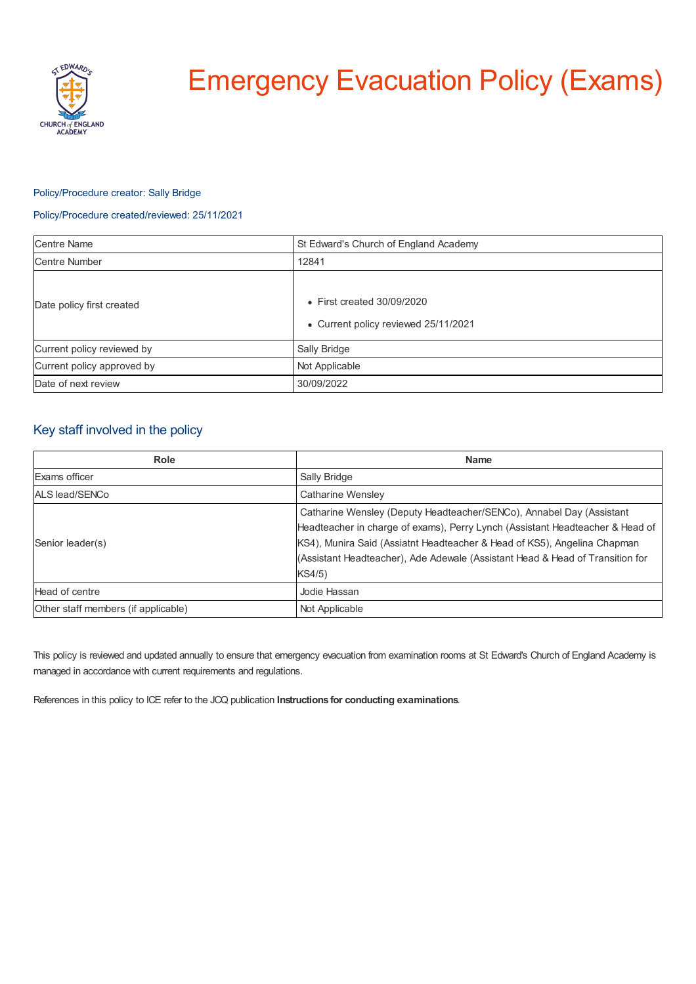

# Emergency Evacuation Policy (Exams)

## Policy/Procedure creator: Sally Bridge

#### Policy/Procedure created/reviewed: 25/11/2021

| <b>Centre Name</b>         | St Edward's Church of England Academy                                      |
|----------------------------|----------------------------------------------------------------------------|
| Centre Number              | 12841                                                                      |
| Date policy first created  | $\bullet$ First created 30/09/2020<br>• Current policy reviewed 25/11/2021 |
| Current policy reviewed by | Sally Bridge                                                               |
| Current policy approved by | Not Applicable                                                             |
| Date of next review        | 30/09/2022                                                                 |

# Key staff involved in the policy

| Role                                | <b>Name</b>                                                                   |
|-------------------------------------|-------------------------------------------------------------------------------|
| Exams officer                       | Sally Bridge                                                                  |
| ALS lead/SENCo                      | Catharine Wensley                                                             |
| Senior leader(s)                    | Catharine Wensley (Deputy Headteacher/SENCo), Annabel Day (Assistant          |
|                                     | Headteacher in charge of exams), Perry Lynch (Assistant Headteacher & Head of |
|                                     | KS4), Munira Said (Assiatnt Headteacher & Head of KS5), Angelina Chapman      |
|                                     | (Assistant Headteacher), Ade Adewale (Assistant Head & Head of Transition for |
|                                     | KS4/5)                                                                        |
| Head of centre                      | Jodie Hassan                                                                  |
| Other staff members (if applicable) | Not Applicable                                                                |

This policy is reviewed and updated annually to ensure that emergency evacuation from examination rooms at St Edward's Church of England Academy is managed in accordance with current requirements and regulations.

References in this policy to ICE refer to the JCQ publication **Instructions for conducting examinations**.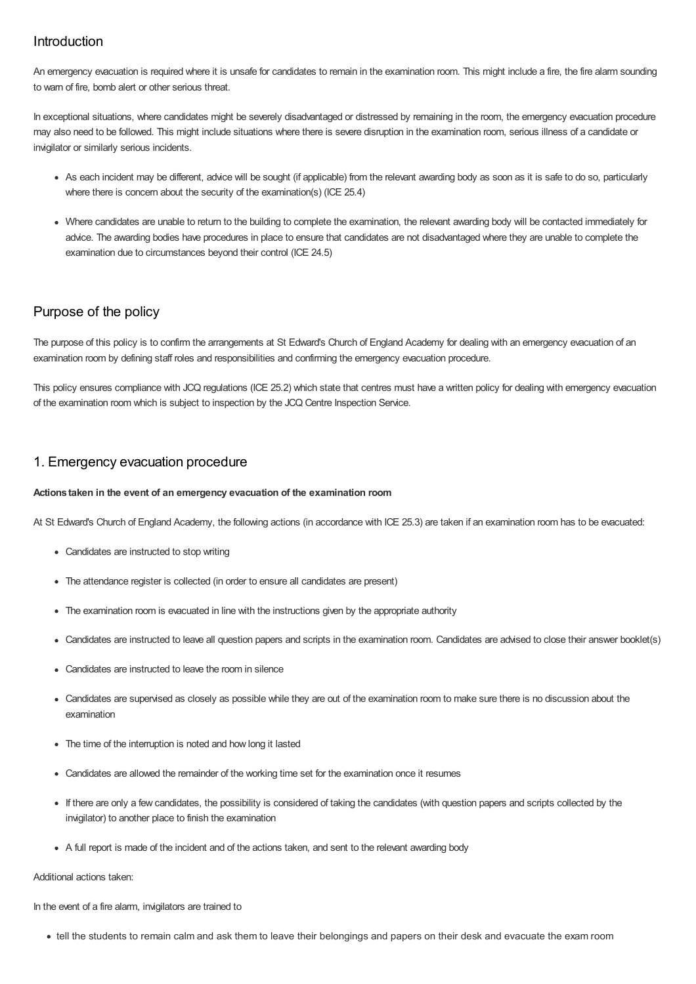# Introduction

An emergency evacuation is required where it is unsafe for candidates to remain in the examination room. This might include a fire, the fire alarm sounding to warn of fire, bomb alert or other serious threat.

In exceptional situations, where candidates might be severely disadvantaged or distressed by remaining in the room, the emergency evacuation procedure may also need to be followed. This might include situations where there is severe disruption in the examination room, serious illness of a candidate or invigilator or similarly serious incidents.

- As each incident may be different, advice will be sought (if applicable) from the relevant awarding body as soon as it is safe to do so, particularly where there is concern about the security of the examination(s) (ICE 25.4)
- Where candidates are unable to return to the building to complete the examination, the relevant awarding body will be contacted immediately for advice. The awarding bodies have procedures in place to ensure that candidates are not disadvantaged where they are unable to complete the examination due to circumstances beyond their control (ICE 24.5)

# Purpose of the policy

The purpose of this policy is to confirm the arrangements at St Edward's Church of England Academy for dealing with an emergency evacuation of an examination room by defining staff roles and responsibilities and confirming the emergency evacuation procedure.

This policy ensures compliance with JCQ regulations (ICE 25.2) which state that centres must have a written policy for dealing with emergency evacuation of the examination room which is subject to inspection by the JCQ Centre Inspection Service.

# 1. Emergency evacuation procedure

#### **Actions taken in the event of an emergency evacuation of the examination room**

At St Edward's Church of England Academy, the following actions (in accordance with ICE 25.3) are taken if an examination room has to be evacuated:

- Candidates are instructed to stop writing
- The attendance register is collected (in order to ensure all candidates are present)
- The examination room is evacuated in line with the instructions given by the appropriate authority
- Candidates are instructed to leave all question papers and scripts in the examination room. Candidates are advised to close their answer booklet(s)
- Candidates are instructed to leave the room in silence
- Candidates are supervised as closely as possible while they are out of the examination room to make sure there is no discussion about the examination
- The time of the interruption is noted and how long it lasted
- Candidates are allowed the remainder of the working time set for the examination once it resumes
- If there are only a few candidates, the possibility is considered of taking the candidates (with question papers and scripts collected by the invigilator) to another place to finish the examination
- A full report is made of the incident and of the actions taken, and sent to the relevant awarding body

#### Additional actions taken:

In the event of a fire alarm, invigilators are trained to

tell the students to remain calm and ask them to leave their belongings and papers on their desk and evacuate the exam room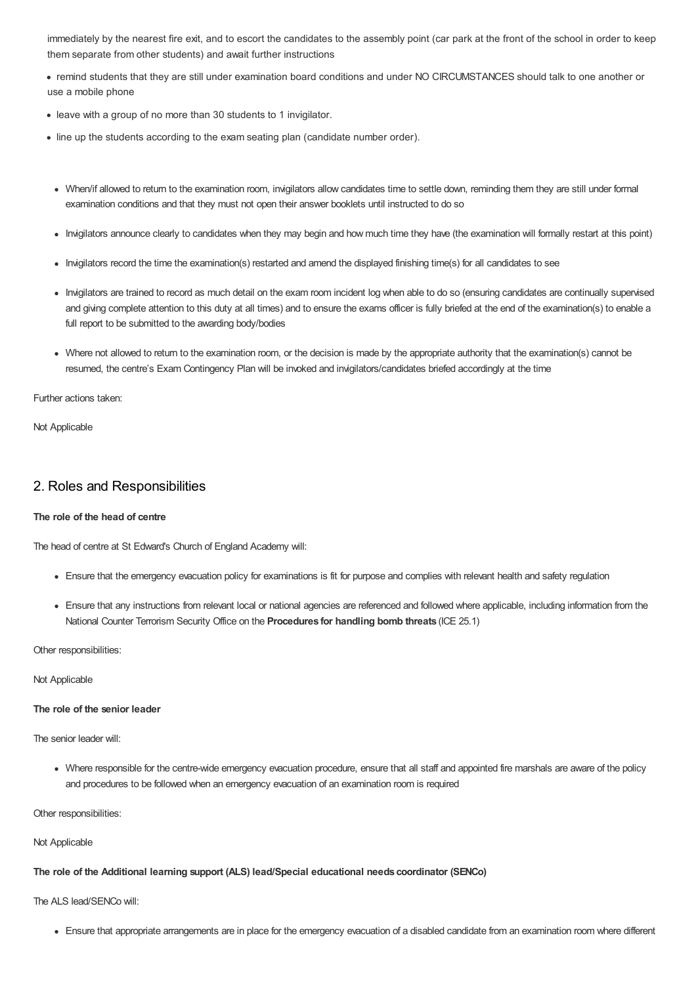immediately by the nearest fire exit, and to escort the candidates to the assembly point (car park at the front of the school in order to keep them separate from other students) and await further instructions

remind students that they are still under examination board conditions and under NO CIRCUMSTANCES should talk to one another or use a mobile phone

- leave with a group of no more than 30 students to 1 invigilator.
- line up the students according to the exam seating plan (candidate number order).
	- When/if allowed to return to the examination room, invigilators allow candidates time to settle down, reminding them they are still under formal examination conditions and that they must not open their answer booklets until instructed to do so
	- Invigilators announce clearly to candidates when they may begin and how much time they have (the examination will formally restart at this point)
	- Invigilators record the time the examination(s) restarted and amend the displayed finishing time(s) for all candidates to see
	- Invigilators are trained to record as much detail on the exam room incident log when able to do so (ensuring candidates are continually supervised and giving complete attention to this duty at all times) and to ensure the exams officer is fully briefed at the end of the examination(s) to enable a full report to be submitted to the awarding body/bodies
	- Where not allowed to return to the examination room, or the decision is made by the appropriate authority that the examination(s) cannot be resumed, the centre's Exam Contingency Plan will be invoked and invigilators/candidates briefed accordingly at the time

Further actions taken:

Not Applicable

## 2. Roles and Responsibilities

#### **The role of the head of centre**

The head of centre at St Edward's Church of England Academy will:

- Ensure that the emergency evacuation policy for examinations is fit for purpose and complies with relevant health and safety regulation
- Ensure that any instructions from relevant local or national agencies are referenced and followed where applicable, including information from the National Counter Terrorism Security Office on the **Procedures for handling bomb threats** (ICE 25.1)

Other responsibilities:

Not Applicable

#### **The role of the senior leader**

The senior leader will:

Where responsible for the centre-wide emergency evacuation procedure, ensure that all staff and appointed fire marshals are aware of the policy and procedures to be followed when an emergency evacuation of an examination room is required

Other responsibilities:

#### Not Applicable

#### **The role of the Additional learning support (ALS) lead/Special educational needs coordinator (SENCo)**

The ALS lead/SENCo will:

Ensure that appropriate arrangements are in place for the emergency evacuation of a disabled candidate from an examination room where different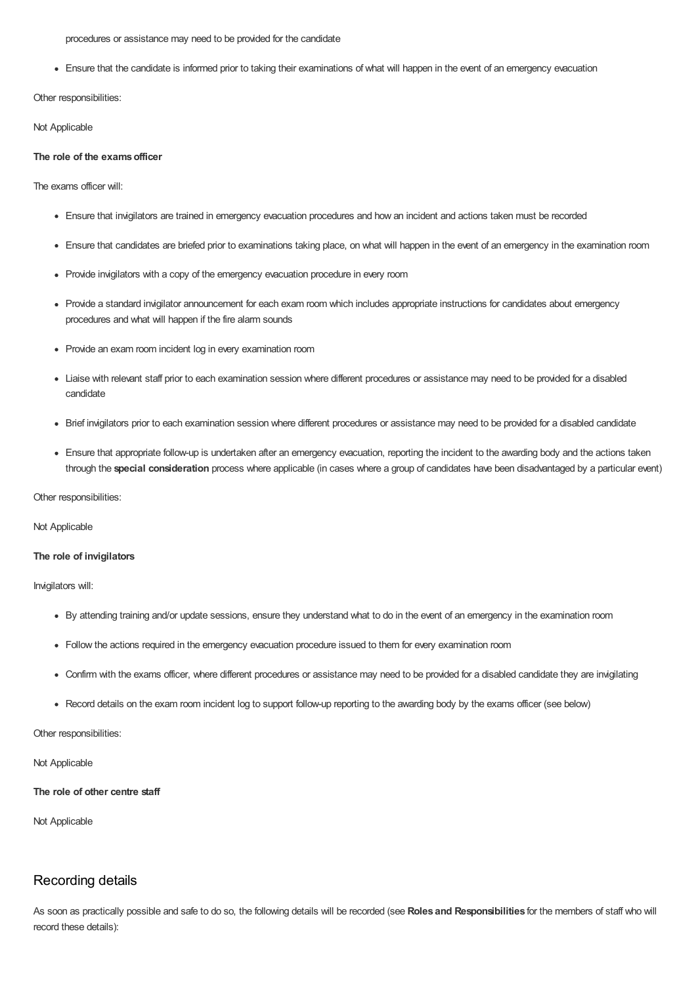procedures or assistance may need to be provided for the candidate

Ensure that the candidate is informed prior to taking their examinations of what will happen in the event of an emergency evacuation

Other responsibilities:

#### Not Applicable

#### **The role of the examsofficer**

The exams officer will:

- Ensure that invigilators are trained in emergency evacuation procedures and how an incident and actions taken must be recorded
- Ensure that candidates are briefed prior to examinations taking place, on what will happen in the event of an emergency in the examination room
- Provide invigilators with a copy of the emergency evacuation procedure in every room
- Provide a standard invigilator announcement for each exam room which includes appropriate instructions for candidates about emergency procedures and what will happen if the fire alarm sounds
- Provide an exam room incident log in every examination room
- Liaise with relevant staff prior to each examination session where different procedures or assistance may need to be provided for a disabled candidate
- Brief invigilators prior to each examination session where different procedures or assistance may need to be provided for a disabled candidate
- Ensure that appropriate follow-up is undertaken after an emergency evacuation, reporting the incident to the awarding body and the actions taken through the **special consideration** process where applicable (in cases where a group of candidates have been disadvantaged by a particular event)

#### Other responsibilities:

Not Applicable

#### **The role of invigilators**

Invigilators will:

- By attending training and/or update sessions, ensure they understand what to do in the event of an emergency in the examination room
- Follow the actions required in the emergency evacuation procedure issued to them for every examination room
- Confirm with the exams officer, where different procedures or assistance may need to be provided for a disabled candidate they are invigilating
- Record details on the exam room incident log to support follow-up reporting to the awarding body by the exams officer (see below)

Other responsibilities:

Not Applicable

#### **The role of other centre staff**

Not Applicable

### Recording details

As soon as practically possible and safe to do so, the following details will be recorded (see **Roles and Responsibilities** for the members of staff who will record these details):